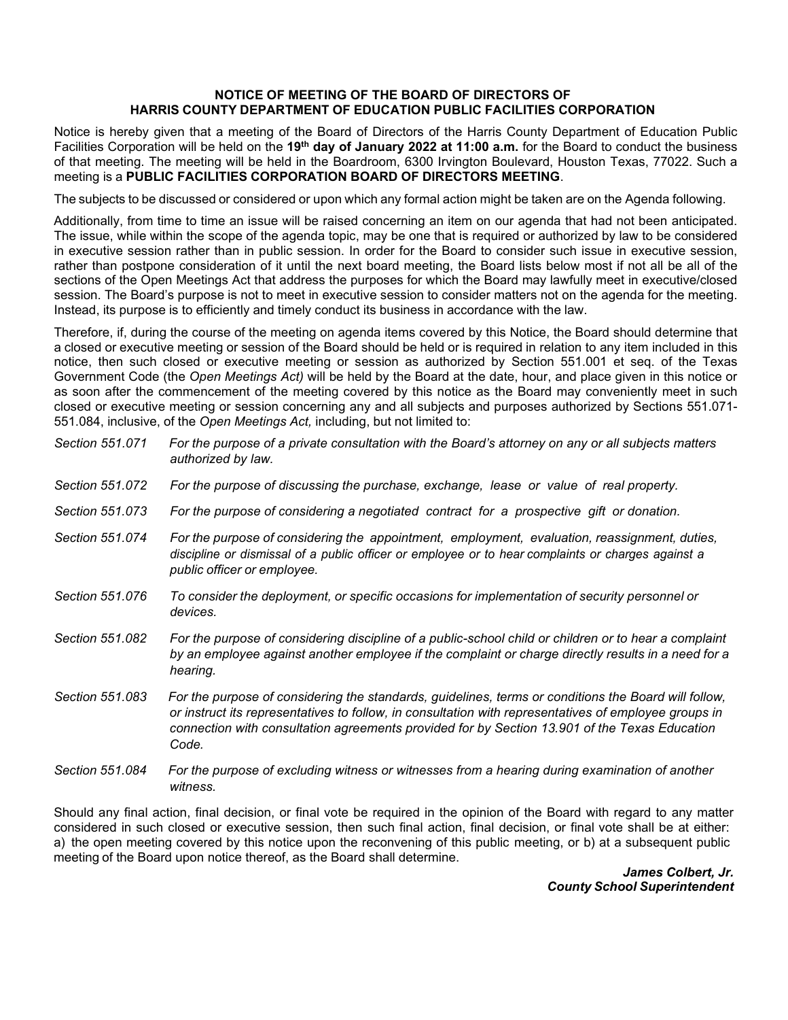## **NOTICE OF MEETING OF THE BOARD OF DIRECTORS OF HARRIS COUNTY DEPARTMENT OF EDUCATION PUBLIC FACILITIES CORPORATION**

Notice is hereby given that a meeting of the Board of Directors of the Harris County Department of Education Public Facilities Corporation will be held on the **19th day of January 2022 at 11:00 a.m.** for the Board to conduct the business of that meeting. The meeting will be held in the Boardroom, 6300 Irvington Boulevard, Houston Texas, 77022. Such a meeting is a **PUBLIC FACILITIES CORPORATION BOARD OF DIRECTORS MEETING**.

The subjects to be discussed or considered or upon which any formal action might be taken are on the Agenda following.

Additionally, from time to time an issue will be raised concerning an item on our agenda that had not been anticipated. The issue, while within the scope of the agenda topic, may be one that is required or authorized by law to be considered in executive session rather than in public session. In order for the Board to consider such issue in executive session, rather than postpone consideration of it until the next board meeting, the Board lists below most if not all be all of the sections of the Open Meetings Act that address the purposes for which the Board may lawfully meet in executive/closed session. The Board's purpose is not to meet in executive session to consider matters not on the agenda for the meeting. Instead, its purpose is to efficiently and timely conduct its business in accordance with the law.

Therefore, if, during the course of the meeting on agenda items covered by this Notice, the Board should determine that a closed or executive meeting or session of the Board should be held or is required in relation to any item included in this notice, then such closed or executive meeting or session as authorized by Section 551.001 et seq. of the Texas Government Code (the *Open Meetings Act)* will be held by the Board at the date, hour, and place given in this notice or as soon after the commencement of the meeting covered by this notice as the Board may conveniently meet in such closed or executive meeting or session concerning any and all subjects and purposes authorized by Sections 551.071- 551.084, inclusive, of the *Open Meetings Act,* including, but not limited to:

| Section 551.071 | For the purpose of a private consultation with the Board's attorney on any or all subjects matters<br>authorized by law.                                                                                                                                                                                                |
|-----------------|-------------------------------------------------------------------------------------------------------------------------------------------------------------------------------------------------------------------------------------------------------------------------------------------------------------------------|
| Section 551.072 | For the purpose of discussing the purchase, exchange, lease or value of real property.                                                                                                                                                                                                                                  |
| Section 551,073 | For the purpose of considering a negotiated contract for a prospective gift or donation.                                                                                                                                                                                                                                |
| Section 551.074 | For the purpose of considering the appointment, employment, evaluation, reassignment, duties,<br>discipline or dismissal of a public officer or employee or to hear complaints or charges against a<br>public officer or employee.                                                                                      |
| Section 551.076 | To consider the deployment, or specific occasions for implementation of security personnel or<br>devices.                                                                                                                                                                                                               |
| Section 551.082 | For the purpose of considering discipline of a public-school child or children or to hear a complaint<br>by an employee against another employee if the complaint or charge directly results in a need for a<br>hearing.                                                                                                |
| Section 551.083 | For the purpose of considering the standards, guidelines, terms or conditions the Board will follow,<br>or instruct its representatives to follow, in consultation with representatives of employee groups in<br>connection with consultation agreements provided for by Section 13.901 of the Texas Education<br>Code. |
| Section 551,084 | For the purpose of excluding witness or witnesses from a hearing during examination of another                                                                                                                                                                                                                          |

Should any final action, final decision, or final vote be required in the opinion of the Board with regard to any matter considered in such closed or executive session, then such final action, final decision, or final vote shall be at either: a) the open meeting covered by this notice upon the reconvening of this public meeting, or b) at a subsequent public meeting of the Board upon notice thereof, as the Board shall determine.

*witness.*

*James Colbert, Jr. County School Superintendent*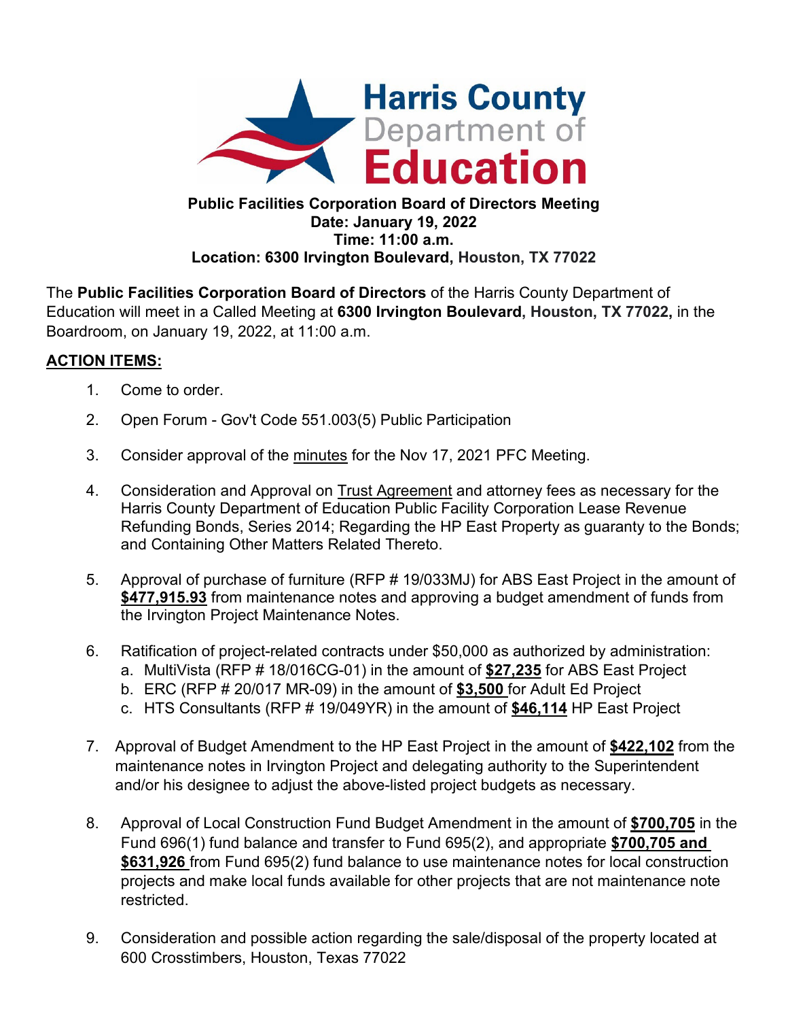

## **Public Facilities Corporation Board of Directors Meeting Date: January 19, 2022 Time: 11:00 a.m. Location: 6300 Irvington Boulevard, Houston, TX 77022**

The **Public Facilities Corporation Board of Directors** of the Harris County Department of Education will meet in a Called Meeting at **6300 Irvington Boulevard, Houston, TX 77022,** in the Boardroom, on January 19, 2022, at 11:00 a.m.

## **ACTION ITEMS:**

- 1. Come to order.
- 2. Open Forum Gov't Code 551.003(5) Public Participation
- 3. Consider approval of the minutes for the Nov 17, 2021 PFC Meeting.
- 4. Consideration and Approval on Trust Agreement and attorney fees as necessary for the Harris County Department of Education Public Facility Corporation Lease Revenue Refunding Bonds, Series 2014; Regarding the HP East Property as guaranty to the Bonds; and Containing Other Matters Related Thereto.
- 5. Approval of purchase of furniture (RFP # 19/033MJ) for ABS East Project in the amount of **\$477,915.93** from maintenance notes and approving a budget amendment of funds from the Irvington Project Maintenance Notes.
- 6. Ratification of project-related contracts under \$50,000 as authorized by administration:
	- a. MultiVista (RFP # 18/016CG-01) in the amount of **\$27,235** for ABS East Project
	- b. ERC (RFP # 20/017 MR-09) in the amount of **\$3,500** for Adult Ed Project
	- c. HTS Consultants (RFP # 19/049YR) in the amount of **\$46,114** HP East Project
- 7. Approval of Budget Amendment to the HP East Project in the amount of **\$422,102** from the maintenance notes in Irvington Project and delegating authority to the Superintendent and/or his designee to adjust the above-listed project budgets as necessary.
- 8. Approval of Local Construction Fund Budget Amendment in the amount of **\$700,705** in the Fund 696(1) fund balance and transfer to Fund 695(2), and appropriate **\$700,705 and \$631,926** from Fund 695(2) fund balance to use maintenance notes for local construction projects and make local funds available for other projects that are not maintenance note restricted.
- 9. Consideration and possible action regarding the sale/disposal of the property located at 600 Crosstimbers, Houston, Texas 77022